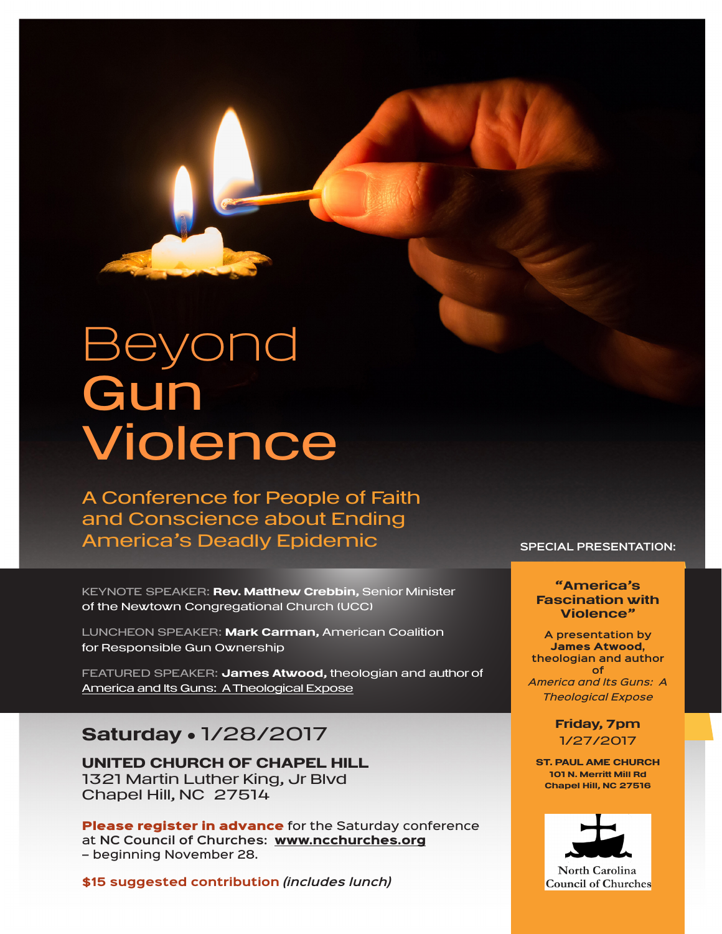# Beyond **Gun** Violence

A Conference for People of Faith and Conscience about Ending America's Deadly Epidemic

KEYNOTE SPEAKER: Rev. Matthew Crebbin, Senior Minister of the Newtown Congregational Church (UCC)

LUNCHEON SPEAKER: Mark Carman, American Coalition for Responsible Gun Ownership

FEATURED SPEAKER: James Atwood, theologian and author of America and Its Guns: A Theological Expose

# Saturday . 1/28/2017

UNITED CHURCH OF CHAPEL HILL 1321 Martin Luther King, Jr Blvd Chapel Hill, NC 27514

Please register in advance for the Saturday conference at **NC Council of Churches:** www.ncchurches.org – beginning November 28.

**\$15 suggested contribution** *(includes lunch)*

## **SPECIAL PRESENTATION:**

# "America's Fascination with Violence"

**A presentation by**  James Atwood, **theologian and author of**  *America and Its Guns: A Theological Expose*

> Friday, 7pm 1/27/2017

ST. PAUL AME CHURCH 101 N. Merritt Mill Rd Chapel Hill, NC 27516